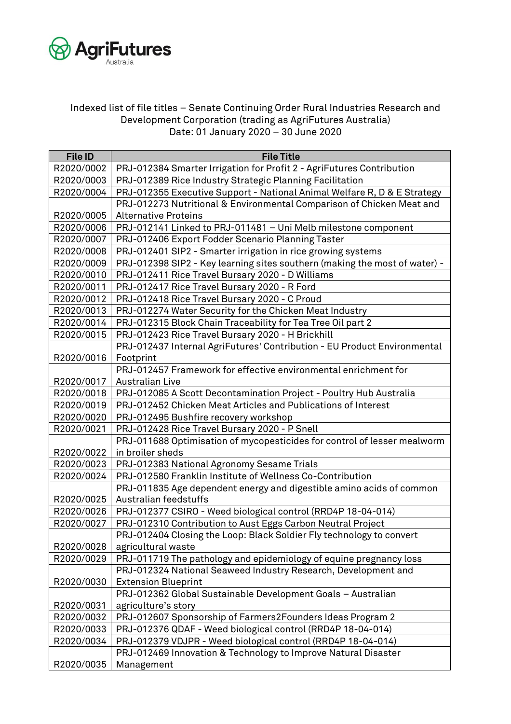

## Indexed list of file titles – Senate Continuing Order Rural Industries Research and Development Corporation (trading as AgriFutures Australia) Date: 01 January 2020 – 30 June 2020

| <b>File ID</b> | <b>File Title</b>                                                          |
|----------------|----------------------------------------------------------------------------|
| R2020/0002     | PRJ-012384 Smarter Irrigation for Profit 2 - AgriFutures Contribution      |
| R2020/0003     | PRJ-012389 Rice Industry Strategic Planning Facilitation                   |
| R2020/0004     | PRJ-012355 Executive Support - National Animal Welfare R, D & E Strategy   |
|                | PRJ-012273 Nutritional & Environmental Comparison of Chicken Meat and      |
| R2020/0005     | <b>Alternative Proteins</b>                                                |
| R2020/0006     | PRJ-012141 Linked to PRJ-011481 - Uni Melb milestone component             |
| R2020/0007     | PRJ-012406 Export Fodder Scenario Planning Taster                          |
| R2020/0008     | PRJ-012401 SIP2 - Smarter irrigation in rice growing systems               |
| R2020/0009     | PRJ-012398 SIP2 - Key learning sites southern (making the most of water) - |
| R2020/0010     | PRJ-012411 Rice Travel Bursary 2020 - D Williams                           |
| R2020/0011     | PRJ-012417 Rice Travel Bursary 2020 - R Ford                               |
| R2020/0012     | PRJ-012418 Rice Travel Bursary 2020 - C Proud                              |
| R2020/0013     | PRJ-012274 Water Security for the Chicken Meat Industry                    |
| R2020/0014     | PRJ-012315 Block Chain Traceability for Tea Tree Oil part 2                |
| R2020/0015     | PRJ-012423 Rice Travel Bursary 2020 - H Brickhill                          |
|                | PRJ-012437 Internal AgriFutures' Contribution - EU Product Environmental   |
| R2020/0016     | Footprint                                                                  |
|                | PRJ-012457 Framework for effective environmental enrichment for            |
| R2020/0017     | <b>Australian Live</b>                                                     |
| R2020/0018     | PRJ-012085 A Scott Decontamination Project - Poultry Hub Australia         |
| R2020/0019     | PRJ-012452 Chicken Meat Articles and Publications of Interest              |
| R2020/0020     | PRJ-012495 Bushfire recovery workshop                                      |
| R2020/0021     | PRJ-012428 Rice Travel Bursary 2020 - P Snell                              |
|                | PRJ-011688 Optimisation of mycopesticides for control of lesser mealworm   |
| R2020/0022     | in broiler sheds                                                           |
| R2020/0023     | PRJ-012383 National Agronomy Sesame Trials                                 |
| R2020/0024     | PRJ-012580 Franklin Institute of Wellness Co-Contribution                  |
|                | PRJ-011835 Age dependent energy and digestible amino acids of common       |
| R2020/0025     | Australian feedstuffs                                                      |
| R2020/0026     | PRJ-012377 CSIRO - Weed biological control (RRD4P 18-04-014)               |
| R2020/0027     | PRJ-012310 Contribution to Aust Eggs Carbon Neutral Project                |
|                | PRJ-012404 Closing the Loop: Black Soldier Fly technology to convert       |
| R2020/0028     | agricultural waste                                                         |
| R2020/0029     | PRJ-011719 The pathology and epidemiology of equine pregnancy loss         |
|                | PRJ-012324 National Seaweed Industry Research, Development and             |
| R2020/0030     | <b>Extension Blueprint</b>                                                 |
|                | PRJ-012362 Global Sustainable Development Goals - Australian               |
| R2020/0031     | agriculture's story                                                        |
| R2020/0032     | PRJ-012607 Sponsorship of Farmers2Founders Ideas Program 2                 |
| R2020/0033     | PRJ-012376 QDAF - Weed biological control (RRD4P 18-04-014)                |
| R2020/0034     | PRJ-012379 VDJPR - Weed biological control (RRD4P 18-04-014)               |
|                | PRJ-012469 Innovation & Technology to Improve Natural Disaster             |
| R2020/0035     | Management                                                                 |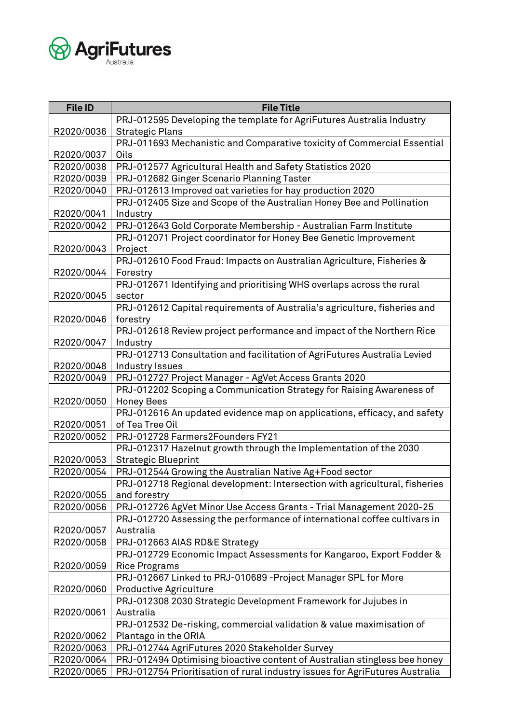

| <b>File ID</b> | <b>File Title</b>                                                            |
|----------------|------------------------------------------------------------------------------|
|                | PRJ-012595 Developing the template for AgriFutures Australia Industry        |
| R2020/0036     | <b>Strategic Plans</b>                                                       |
|                | PRJ-011693 Mechanistic and Comparative toxicity of Commercial Essential      |
| R2020/0037     | <b>Oils</b>                                                                  |
| R2020/0038     | PRJ-012577 Agricultural Health and Safety Statistics 2020                    |
| R2020/0039     | PRJ-012682 Ginger Scenario Planning Taster                                   |
| R2020/0040     | PRJ-012613 Improved oat varieties for hay production 2020                    |
|                | PRJ-012405 Size and Scope of the Australian Honey Bee and Pollination        |
| R2020/0041     | Industry                                                                     |
| R2020/0042     | PRJ-012643 Gold Corporate Membership - Australian Farm Institute             |
|                | PRJ-012071 Project coordinator for Honey Bee Genetic Improvement             |
| R2020/0043     | Project                                                                      |
|                | PRJ-012610 Food Fraud: Impacts on Australian Agriculture, Fisheries &        |
| R2020/0044     | Forestry                                                                     |
|                | PRJ-012671 Identifying and prioritising WHS overlaps across the rural        |
| R2020/0045     | sector                                                                       |
|                | PRJ-012612 Capital requirements of Australia's agriculture, fisheries and    |
| R2020/0046     | forestry                                                                     |
|                | PRJ-012618 Review project performance and impact of the Northern Rice        |
| R2020/0047     | Industry                                                                     |
|                | PRJ-012713 Consultation and facilitation of AgriFutures Australia Levied     |
| R2020/0048     | Industry Issues                                                              |
| R2020/0049     | PRJ-012727 Project Manager - AgVet Access Grants 2020                        |
|                | PRJ-012202 Scoping a Communication Strategy for Raising Awareness of         |
| R2020/0050     | <b>Honey Bees</b>                                                            |
|                | PRJ-012616 An updated evidence map on applications, efficacy, and safety     |
| R2020/0051     | of Tea Tree Oil                                                              |
| R2020/0052     | PRJ-012728 Farmers2Founders FY21                                             |
|                | PRJ-012317 Hazelnut growth through the Implementation of the 2030            |
| R2020/0053     | <b>Strategic Blueprint</b>                                                   |
| R2020/0054     | PRJ-012544 Growing the Australian Native Ag+Food sector                      |
|                | PRJ-012718 Regional development: Intersection with agricultural, fisheries   |
| R2020/0055     | and forestry                                                                 |
| R2020/0056     | PRJ-012726 AgVet Minor Use Access Grants - Trial Management 2020-25          |
|                | PRJ-012720 Assessing the performance of international coffee cultivars in    |
| R2020/0057     | Australia                                                                    |
| R2020/0058     | PRJ-012663 AIAS RD&E Strategy                                                |
|                | PRJ-012729 Economic Impact Assessments for Kangaroo, Export Fodder &         |
| R2020/0059     | <b>Rice Programs</b>                                                         |
|                | PRJ-012667 Linked to PRJ-010689 - Project Manager SPL for More               |
| R2020/0060     | <b>Productive Agriculture</b>                                                |
|                | PRJ-012308 2030 Strategic Development Framework for Jujubes in               |
| R2020/0061     | Australia                                                                    |
|                | PRJ-012532 De-risking, commercial validation & value maximisation of         |
| R2020/0062     | Plantago in the ORIA                                                         |
| R2020/0063     | PRJ-012744 AgriFutures 2020 Stakeholder Survey                               |
| R2020/0064     | PRJ-012494 Optimising bioactive content of Australian stingless bee honey    |
| R2020/0065     | PRJ-012754 Prioritisation of rural industry issues for AgriFutures Australia |